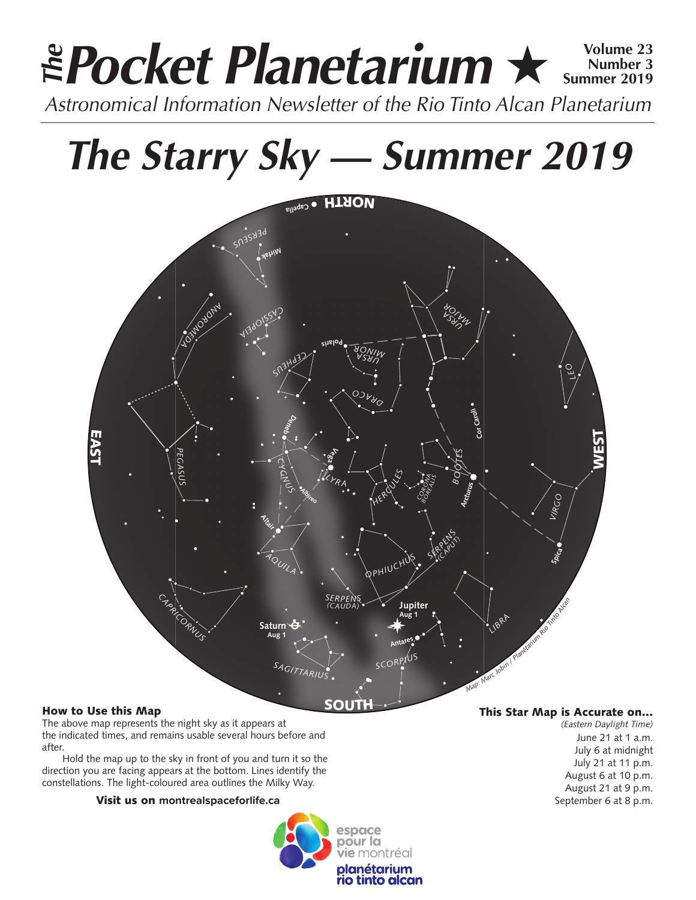# **Pocket Planetarium ★ 
Number 3**<br> **Pocket Planetarium ★ 
Number 3019 Number 3 Summer 2019** *Astronomical Information Newsletter of the Rio Tinto Alcan Planetarium The*

# *The Starry Sky — Summer 2019*



# How to Use this Map

The above map represents the night sky as it appears at the indicated times, and remains usable several hours before and after.

Hold the map up to the sky in front of you and turn it so the direction you are facing appears at the bottom. Lines identify the constellations. The light-coloured area outlines the Milky Way.

## Visit us on **montrealspaceforlife.ca**



## This Star Map is Accurate on…

*(Eastern Daylight Time)* June 21 at 1 a.m. July 6 at midnight July 21 at 11 p.m. August 6 at 10 p.m. August 21 at 9 p.m. September 6 at 8 p.m.